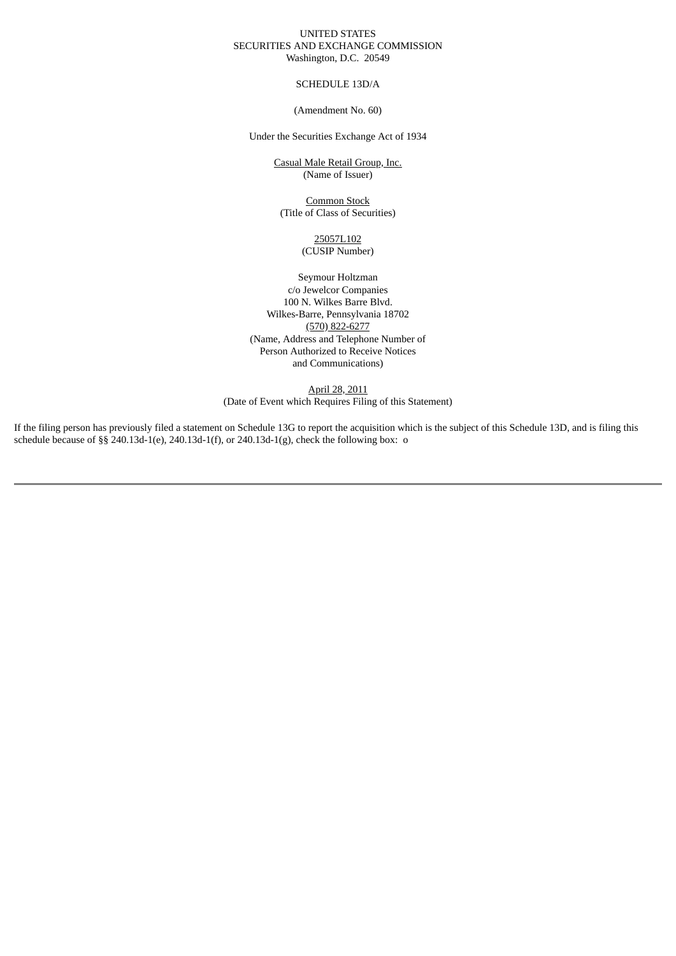## UNITED STATES SECURITIES AND EXCHANGE COMMISSION Washington, D.C. 20549

## SCHEDULE 13D/A

## (Amendment No. 60)

Under the Securities Exchange Act of 1934

Casual Male Retail Group, Inc. (Name of Issuer)

Common Stock (Title of Class of Securities)

> 25057L102 (CUSIP Number)

Seymour Holtzman c/o Jewelcor Companies 100 N. Wilkes Barre Blvd. Wilkes-Barre, Pennsylvania 18702 (570) 822-6277 (Name, Address and Telephone Number of Person Authorized to Receive Notices and Communications)

April 28, 2011 (Date of Event which Requires Filing of this Statement)

If the filing person has previously filed a statement on Schedule 13G to report the acquisition which is the subject of this Schedule 13D, and is filing this schedule because of §§ 240.13d-1(e), 240.13d-1(f), or 240.13d-1(g), check the following box: o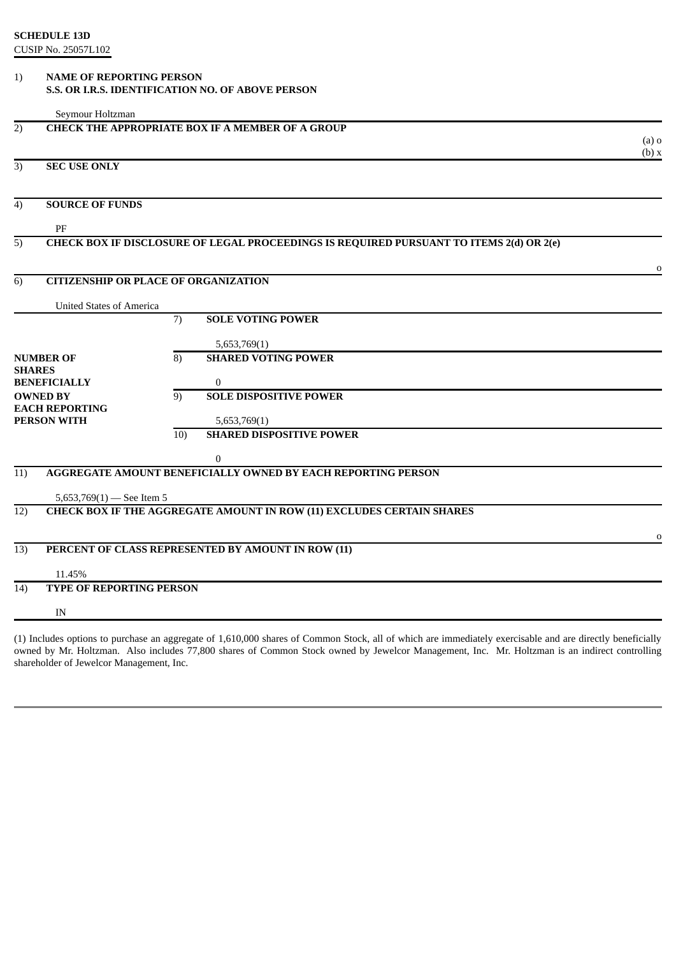## 1) **NAME OF REPORTING PERSON S.S. OR I.R.S. IDENTIFICATION NO. OF ABOVE PERSON**

|               | Seymour Holtzman                     |                                                                                         |                  |
|---------------|--------------------------------------|-----------------------------------------------------------------------------------------|------------------|
| 2)            |                                      | <b>CHECK THE APPROPRIATE BOX IF A MEMBER OF A GROUP</b>                                 |                  |
|               |                                      |                                                                                         | $(a)$ o<br>(b) x |
| 3)            | <b>SEC USE ONLY</b>                  |                                                                                         |                  |
| 4)            | <b>SOURCE OF FUNDS</b>               |                                                                                         |                  |
|               | PF                                   |                                                                                         |                  |
| 5)            |                                      | CHECK BOX IF DISCLOSURE OF LEGAL PROCEEDINGS IS REQUIRED PURSUANT TO ITEMS 2(d) OR 2(e) |                  |
|               |                                      |                                                                                         | 0                |
| 6)            |                                      | <b>CITIZENSHIP OR PLACE OF ORGANIZATION</b>                                             |                  |
|               | <b>United States of America</b>      |                                                                                         |                  |
|               |                                      | $\overline{7}$<br><b>SOLE VOTING POWER</b>                                              |                  |
|               |                                      | 5,653,769(1)                                                                            |                  |
|               | <b>NUMBER OF</b>                     | <b>SHARED VOTING POWER</b><br>$\overline{8}$                                            |                  |
| <b>SHARES</b> | <b>BENEFICIALLY</b>                  | $\mathbf{0}$                                                                            |                  |
|               | <b>OWNED BY</b>                      | <b>SOLE DISPOSITIVE POWER</b><br>9)                                                     |                  |
|               | <b>EACH REPORTING</b><br>PERSON WITH | 5,653,769(1)                                                                            |                  |
|               |                                      | <b>SHARED DISPOSITIVE POWER</b><br>$\overline{10}$                                      |                  |
|               |                                      | $\mathbf{0}$                                                                            |                  |
| 11)           |                                      | AGGREGATE AMOUNT BENEFICIALLY OWNED BY EACH REPORTING PERSON                            |                  |
|               | 5,653,769 $(1)$ - See Item 5         |                                                                                         |                  |
| 12)           |                                      | <b>CHECK BOX IF THE AGGREGATE AMOUNT IN ROW (11) EXCLUDES CERTAIN SHARES</b>            |                  |
|               |                                      |                                                                                         | $\Omega$         |
| 13)           |                                      | PERCENT OF CLASS REPRESENTED BY AMOUNT IN ROW (11)                                      |                  |
|               | 11.45%                               |                                                                                         |                  |
| 14)           | <b>TYPE OF REPORTING PERSON</b>      |                                                                                         |                  |
|               | IN                                   |                                                                                         |                  |

(1) Includes options to purchase an aggregate of 1,610,000 shares of Common Stock, all of which are immediately exercisable and are directly beneficially owned by Mr. Holtzman. Also includes 77,800 shares of Common Stock owned by Jewelcor Management, Inc. Mr. Holtzman is an indirect controlling shareholder of Jewelcor Management, Inc.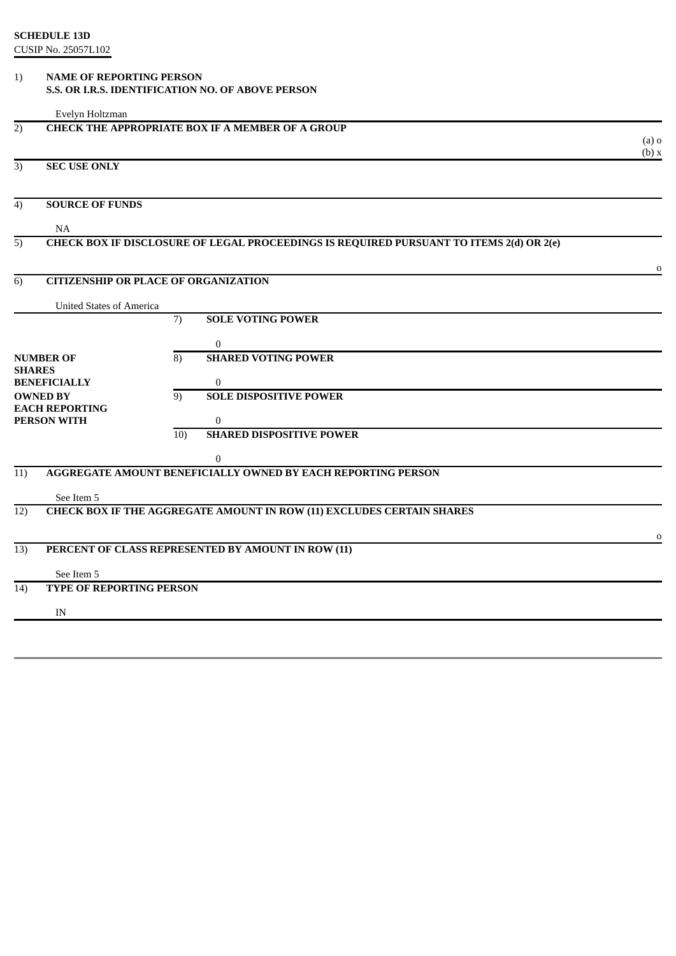## 1) **NAME OF REPORTING PERSON S.S. OR I.R.S. IDENTIFICATION NO. OF ABOVE PERSON**

|                                             | Evelyn Holtzman                             |     |                                                                                         |                  |
|---------------------------------------------|---------------------------------------------|-----|-----------------------------------------------------------------------------------------|------------------|
| 2)                                          |                                             |     | <b>CHECK THE APPROPRIATE BOX IF A MEMBER OF A GROUP</b>                                 | $(a)$ o<br>(b) x |
| 3)                                          | <b>SEC USE ONLY</b>                         |     |                                                                                         |                  |
| 4)                                          | <b>SOURCE OF FUNDS</b>                      |     |                                                                                         |                  |
|                                             | <b>NA</b>                                   |     |                                                                                         |                  |
| 5)                                          |                                             |     | CHECK BOX IF DISCLOSURE OF LEGAL PROCEEDINGS IS REQUIRED PURSUANT TO ITEMS 2(d) OR 2(e) |                  |
|                                             |                                             |     |                                                                                         |                  |
|                                             | <b>CITIZENSHIP OR PLACE OF ORGANIZATION</b> |     |                                                                                         | $\Omega$         |
| 6)                                          |                                             |     |                                                                                         |                  |
|                                             | <b>United States of America</b>             |     |                                                                                         |                  |
|                                             |                                             | 7)  | <b>SOLE VOTING POWER</b>                                                                |                  |
|                                             |                                             |     | $\Omega$                                                                                |                  |
| <b>NUMBER OF</b>                            |                                             | 8)  | <b>SHARED VOTING POWER</b>                                                              |                  |
| <b>SHARES</b><br><b>BENEFICIALLY</b>        |                                             |     | $\Omega$                                                                                |                  |
| <b>OWNED BY</b>                             |                                             | 9)  | <b>SOLE DISPOSITIVE POWER</b>                                                           |                  |
| <b>EACH REPORTING</b><br><b>PERSON WITH</b> |                                             |     | $\Omega$                                                                                |                  |
|                                             |                                             | 10) | <b>SHARED DISPOSITIVE POWER</b>                                                         |                  |
|                                             |                                             |     | 0                                                                                       |                  |

o

# 11) **AGGREGATE AMOUNT BENEFICIALLY OWNED BY EACH REPORTING PERSON**

See Item 5

12) **CHECK BOX IF THE AGGREGATE AMOUNT IN ROW (11) EXCLUDES CERTAIN SHARES**

# 13) **PERCENT OF CLASS REPRESENTED BY AMOUNT IN ROW (11)**

See Item 5

# 14) **TYPE OF REPORTING PERSON**

IN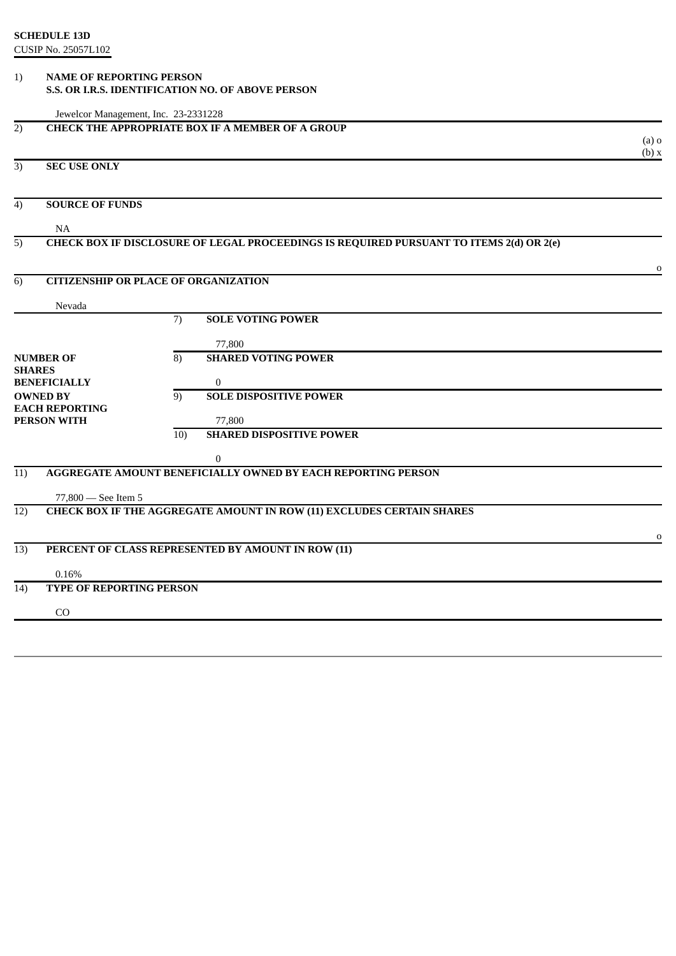# 1) **NAME OF REPORTING PERSON S.S. OR I.R.S. IDENTIFICATION NO. OF ABOVE PERSON**

| Jewelcor Management, Inc. 23-2331228              |                                                         |                                                                                         |                  |  |  |
|---------------------------------------------------|---------------------------------------------------------|-----------------------------------------------------------------------------------------|------------------|--|--|
| 2)                                                | <b>CHECK THE APPROPRIATE BOX IF A MEMBER OF A GROUP</b> |                                                                                         |                  |  |  |
|                                                   |                                                         |                                                                                         | $(a)$ o<br>(b) x |  |  |
| <b>SEC USE ONLY</b><br>3)                         |                                                         |                                                                                         |                  |  |  |
|                                                   |                                                         |                                                                                         |                  |  |  |
| <b>SOURCE OF FUNDS</b><br>4)                      |                                                         |                                                                                         |                  |  |  |
| <b>NA</b>                                         |                                                         |                                                                                         |                  |  |  |
| 5)                                                |                                                         | CHECK BOX IF DISCLOSURE OF LEGAL PROCEEDINGS IS REQUIRED PURSUANT TO ITEMS 2(d) OR 2(e) |                  |  |  |
|                                                   |                                                         |                                                                                         | $\Omega$         |  |  |
| <b>CITIZENSHIP OR PLACE OF ORGANIZATION</b><br>6) |                                                         |                                                                                         |                  |  |  |
| Nevada                                            |                                                         |                                                                                         |                  |  |  |
|                                                   | 7)                                                      | <b>SOLE VOTING POWER</b>                                                                |                  |  |  |
|                                                   |                                                         | 77,800                                                                                  |                  |  |  |
| <b>NUMBER OF</b>                                  | 8)                                                      | <b>SHARED VOTING POWER</b>                                                              |                  |  |  |
| <b>SHARES</b><br><b>BENEFICIALLY</b>              |                                                         | 0                                                                                       |                  |  |  |
| <b>OWNED BY</b>                                   | 9)                                                      | <b>SOLE DISPOSITIVE POWER</b>                                                           |                  |  |  |
| <b>EACH REPORTING</b><br><b>PERSON WITH</b>       |                                                         | 77,800                                                                                  |                  |  |  |
|                                                   | 10)                                                     | <b>SHARED DISPOSITIVE POWER</b>                                                         |                  |  |  |
|                                                   |                                                         | $\Omega$                                                                                |                  |  |  |
| 11)                                               |                                                         | AGGREGATE AMOUNT BENEFICIALLY OWNED BY EACH REPORTING PERSON                            |                  |  |  |
| 77,800 - See Item 5                               |                                                         |                                                                                         |                  |  |  |
| 12)                                               |                                                         | <b>CHECK BOX IF THE AGGREGATE AMOUNT IN ROW (11) EXCLUDES CERTAIN SHARES</b>            |                  |  |  |
|                                                   |                                                         |                                                                                         |                  |  |  |
|                                                   |                                                         |                                                                                         | 0                |  |  |

13) **PERCENT OF CLASS REPRESENTED BY AMOUNT IN ROW (11)**

0.16%

14) **TYPE OF REPORTING PERSON**

CO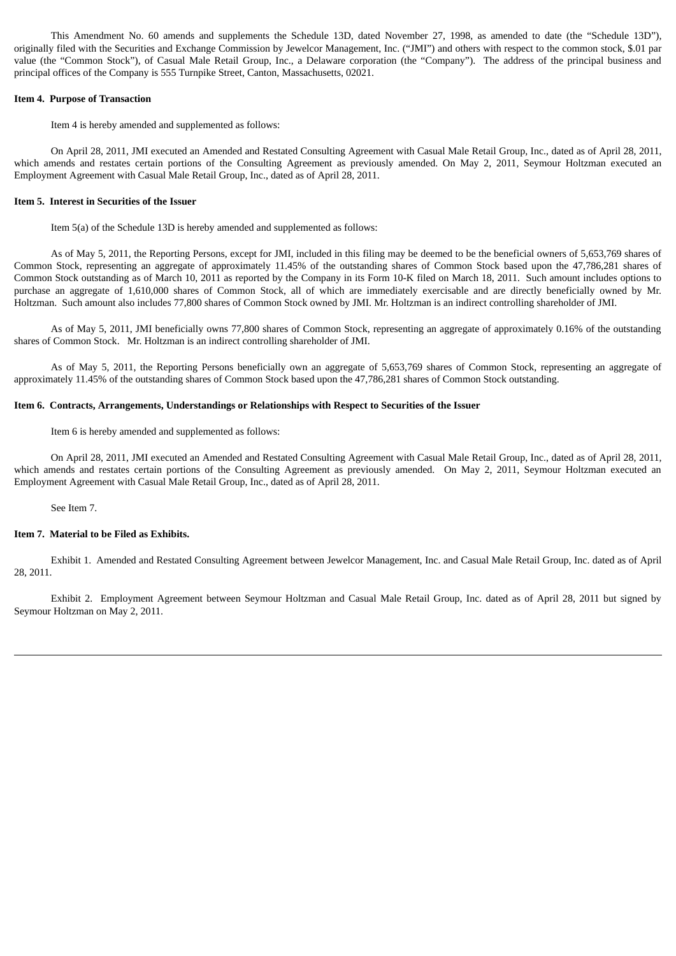This Amendment No. 60 amends and supplements the Schedule 13D, dated November 27, 1998, as amended to date (the "Schedule 13D"), originally filed with the Securities and Exchange Commission by Jewelcor Management, Inc. ("JMI") and others with respect to the common stock, \$.01 par value (the "Common Stock"), of Casual Male Retail Group, Inc., a Delaware corporation (the "Company"). The address of the principal business and principal offices of the Company is 555 Turnpike Street, Canton, Massachusetts, 02021.

### **Item 4. Purpose of Transaction**

Item 4 is hereby amended and supplemented as follows:

On April 28, 2011, JMI executed an Amended and Restated Consulting Agreement with Casual Male Retail Group, Inc., dated as of April 28, 2011, which amends and restates certain portions of the Consulting Agreement as previously amended. On May 2, 2011, Seymour Holtzman executed an Employment Agreement with Casual Male Retail Group, Inc., dated as of April 28, 2011.

## **Item 5. Interest in Securities of the Issuer**

Item 5(a) of the Schedule 13D is hereby amended and supplemented as follows:

As of May 5, 2011, the Reporting Persons, except for JMI, included in this filing may be deemed to be the beneficial owners of 5,653,769 shares of Common Stock, representing an aggregate of approximately 11.45% of the outstanding shares of Common Stock based upon the 47,786,281 shares of Common Stock outstanding as of March 10, 2011 as reported by the Company in its Form 10-K filed on March 18, 2011. Such amount includes options to purchase an aggregate of 1,610,000 shares of Common Stock, all of which are immediately exercisable and are directly beneficially owned by Mr. Holtzman. Such amount also includes 77,800 shares of Common Stock owned by JMI. Mr. Holtzman is an indirect controlling shareholder of JMI.

As of May 5, 2011, JMI beneficially owns 77,800 shares of Common Stock, representing an aggregate of approximately 0.16% of the outstanding shares of Common Stock. Mr. Holtzman is an indirect controlling shareholder of JMI.

As of May 5, 2011, the Reporting Persons beneficially own an aggregate of 5,653,769 shares of Common Stock, representing an aggregate of approximately 11.45% of the outstanding shares of Common Stock based upon the 47,786,281 shares of Common Stock outstanding.

## **Item 6. Contracts, Arrangements, Understandings or Relationships with Respect to Securities of the Issuer**

Item 6 is hereby amended and supplemented as follows:

On April 28, 2011, JMI executed an Amended and Restated Consulting Agreement with Casual Male Retail Group, Inc., dated as of April 28, 2011, which amends and restates certain portions of the Consulting Agreement as previously amended. On May 2, 2011, Seymour Holtzman executed an Employment Agreement with Casual Male Retail Group, Inc., dated as of April 28, 2011.

See Item 7.

## **Item 7. Material to be Filed as Exhibits.**

Exhibit 1. Amended and Restated Consulting Agreement between Jewelcor Management, Inc. and Casual Male Retail Group, Inc. dated as of April 28, 2011.

Exhibit 2. Employment Agreement between Seymour Holtzman and Casual Male Retail Group, Inc. dated as of April 28, 2011 but signed by Seymour Holtzman on May 2, 2011.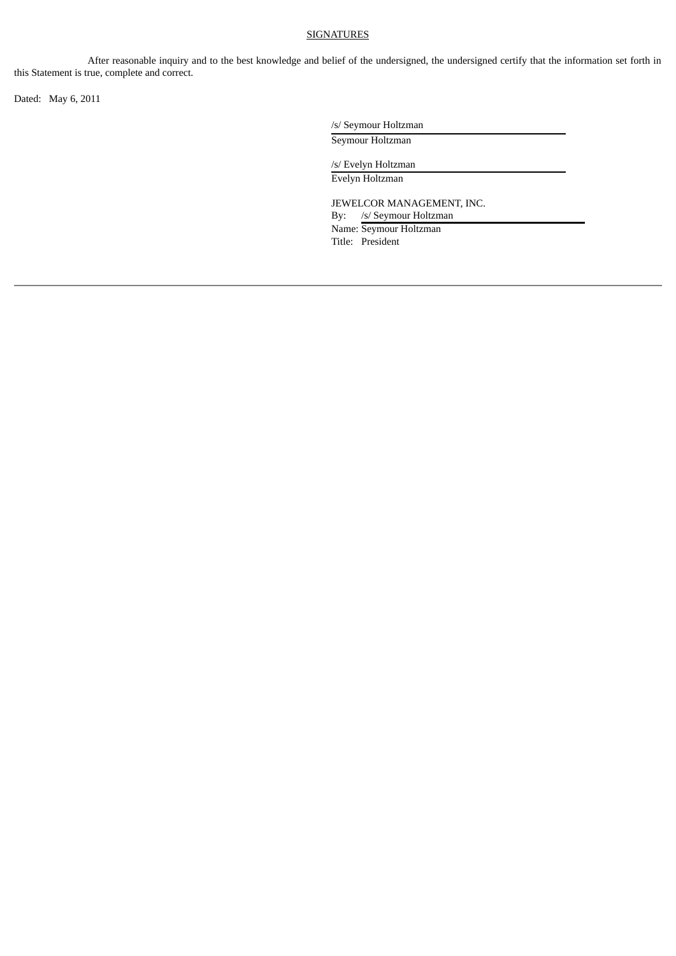# SIGNATURES

After reasonable inquiry and to the best knowledge and belief of the undersigned, the undersigned certify that the information set forth in this Statement is true, complete and correct.

Dated: May 6, 2011

/s/ Seymour Holtzman

Seymour Holtzman

/s/ Evelyn Holtzman Evelyn Holtzman

JEWELCOR MANAGEMENT, INC. By: /s/ Seymour Holtzman Name: Seymour Holtzman Title: President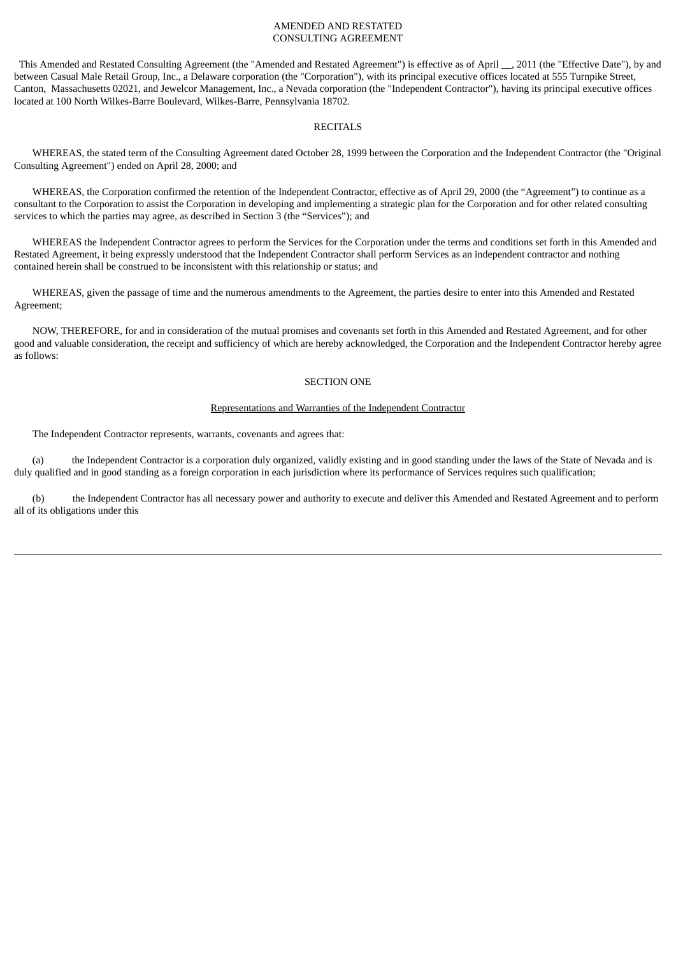## AMENDED AND RESTATED CONSULTING AGREEMENT

This Amended and Restated Consulting Agreement (the "Amended and Restated Agreement") is effective as of April \_\_, 2011 (the "Effective Date"), by and between Casual Male Retail Group, Inc., a Delaware corporation (the "Corporation"), with its principal executive offices located at 555 Turnpike Street, Canton, Massachusetts 02021, and Jewelcor Management, Inc., a Nevada corporation (the "Independent Contractor"), having its principal executive offices located at 100 North Wilkes-Barre Boulevard, Wilkes-Barre, Pennsylvania 18702.

### RECITALS

WHEREAS, the stated term of the Consulting Agreement dated October 28, 1999 between the Corporation and the Independent Contractor (the "Original Consulting Agreement") ended on April 28, 2000; and

WHEREAS, the Corporation confirmed the retention of the Independent Contractor, effective as of April 29, 2000 (the "Agreement") to continue as a consultant to the Corporation to assist the Corporation in developing and implementing a strategic plan for the Corporation and for other related consulting services to which the parties may agree, as described in Section 3 (the "Services"); and

WHEREAS the Independent Contractor agrees to perform the Services for the Corporation under the terms and conditions set forth in this Amended and Restated Agreement, it being expressly understood that the Independent Contractor shall perform Services as an independent contractor and nothing contained herein shall be construed to be inconsistent with this relationship or status; and

WHEREAS, given the passage of time and the numerous amendments to the Agreement, the parties desire to enter into this Amended and Restated Agreement;

NOW, THEREFORE, for and in consideration of the mutual promises and covenants set forth in this Amended and Restated Agreement, and for other good and valuable consideration, the receipt and sufficiency of which are hereby acknowledged, the Corporation and the Independent Contractor hereby agree as follows:

## SECTION ONE

## Representations and Warranties of the Independent Contractor

The Independent Contractor represents, warrants, covenants and agrees that:

(a) the Independent Contractor is a corporation duly organized, validly existing and in good standing under the laws of the State of Nevada and is duly qualified and in good standing as a foreign corporation in each jurisdiction where its performance of Services requires such qualification;

(b) the Independent Contractor has all necessary power and authority to execute and deliver this Amended and Restated Agreement and to perform all of its obligations under this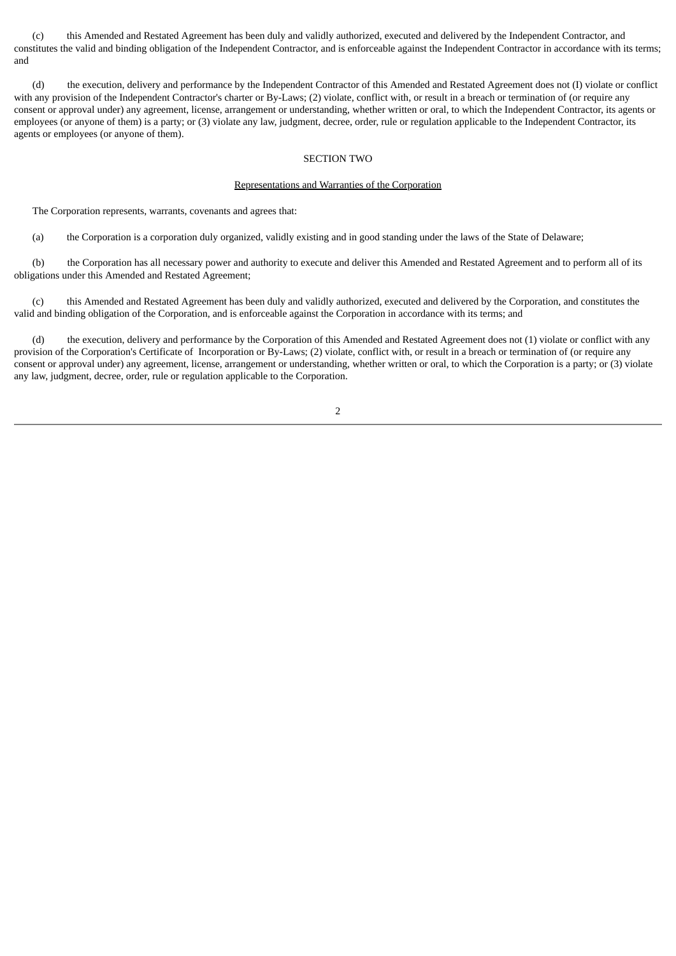(c) this Amended and Restated Agreement has been duly and validly authorized, executed and delivered by the Independent Contractor, and constitutes the valid and binding obligation of the Independent Contractor, and is enforceable against the Independent Contractor in accordance with its terms; and

(d) the execution, delivery and performance by the Independent Contractor of this Amended and Restated Agreement does not (I) violate or conflict with any provision of the Independent Contractor's charter or By-Laws; (2) violate, conflict with, or result in a breach or termination of (or require any consent or approval under) any agreement, license, arrangement or understanding, whether written or oral, to which the Independent Contractor, its agents or employees (or anyone of them) is a party; or (3) violate any law, judgment, decree, order, rule or regulation applicable to the Independent Contractor, its agents or employees (or anyone of them).

## SECTION TWO

### Representations and Warranties of the Corporation

The Corporation represents, warrants, covenants and agrees that:

(a) the Corporation is a corporation duly organized, validly existing and in good standing under the laws of the State of Delaware;

(b) the Corporation has all necessary power and authority to execute and deliver this Amended and Restated Agreement and to perform all of its obligations under this Amended and Restated Agreement;

(c) this Amended and Restated Agreement has been duly and validly authorized, executed and delivered by the Corporation, and constitutes the valid and binding obligation of the Corporation, and is enforceable against the Corporation in accordance with its terms; and

(d) the execution, delivery and performance by the Corporation of this Amended and Restated Agreement does not (1) violate or conflict with any provision of the Corporation's Certificate of Incorporation or By-Laws; (2) violate, conflict with, or result in a breach or termination of (or require any consent or approval under) any agreement, license, arrangement or understanding, whether written or oral, to which the Corporation is a party; or (3) violate any law, judgment, decree, order, rule or regulation applicable to the Corporation.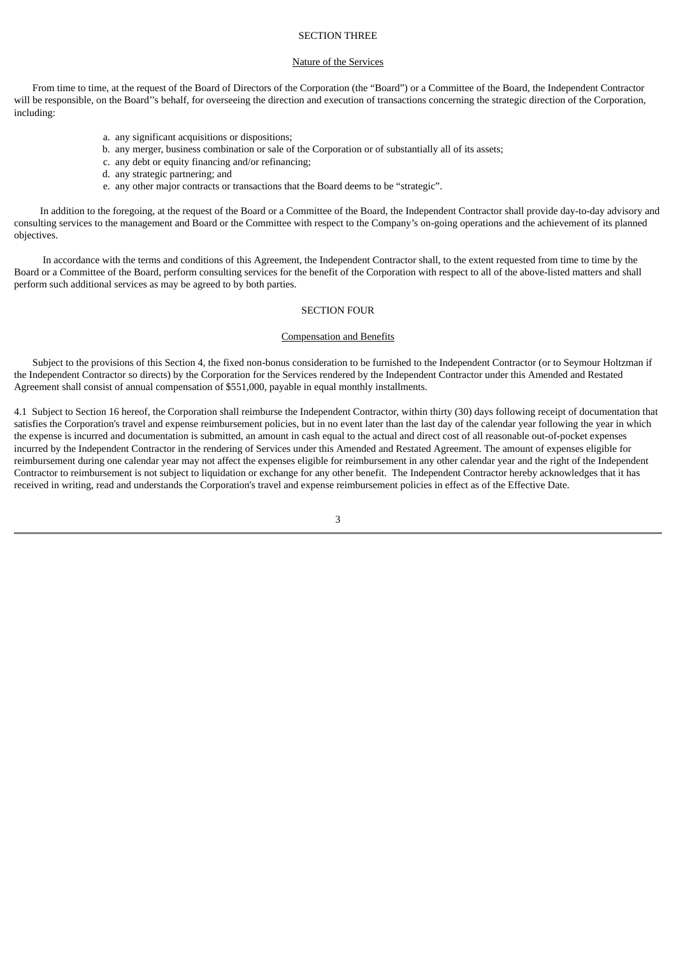## SECTION THREE

## Nature of the Services

From time to time, at the request of the Board of Directors of the Corporation (the "Board") or a Committee of the Board, the Independent Contractor will be responsible, on the Board''s behalf, for overseeing the direction and execution of transactions concerning the strategic direction of the Corporation, including:

- a. any significant acquisitions or dispositions;
- b. any merger, business combination or sale of the Corporation or of substantially all of its assets;
- c. any debt or equity financing and/or refinancing;
- d. any strategic partnering; and
- e. any other major contracts or transactions that the Board deems to be "strategic".

In addition to the foregoing, at the request of the Board or a Committee of the Board, the Independent Contractor shall provide day-to-day advisory and consulting services to the management and Board or the Committee with respect to the Company's on-going operations and the achievement of its planned objectives.

In accordance with the terms and conditions of this Agreement, the Independent Contractor shall, to the extent requested from time to time by the Board or a Committee of the Board, perform consulting services for the benefit of the Corporation with respect to all of the above-listed matters and shall perform such additional services as may be agreed to by both parties.

## SECTION FOUR

#### Compensation and Benefits

Subject to the provisions of this Section 4, the fixed non-bonus consideration to be furnished to the Independent Contractor (or to Seymour Holtzman if the Independent Contractor so directs) by the Corporation for the Services rendered by the Independent Contractor under this Amended and Restated Agreement shall consist of annual compensation of \$551,000, payable in equal monthly installments.

4.1 Subject to Section 16 hereof, the Corporation shall reimburse the Independent Contractor, within thirty (30) days following receipt of documentation that satisfies the Corporation's travel and expense reimbursement policies, but in no event later than the last day of the calendar year following the year in which the expense is incurred and documentation is submitted, an amount in cash equal to the actual and direct cost of all reasonable out-of-pocket expenses incurred by the Independent Contractor in the rendering of Services under this Amended and Restated Agreement. The amount of expenses eligible for reimbursement during one calendar year may not affect the expenses eligible for reimbursement in any other calendar year and the right of the Independent Contractor to reimbursement is not subject to liquidation or exchange for any other benefit. The Independent Contractor hereby acknowledges that it has received in writing, read and understands the Corporation's travel and expense reimbursement policies in effect as of the Effective Date.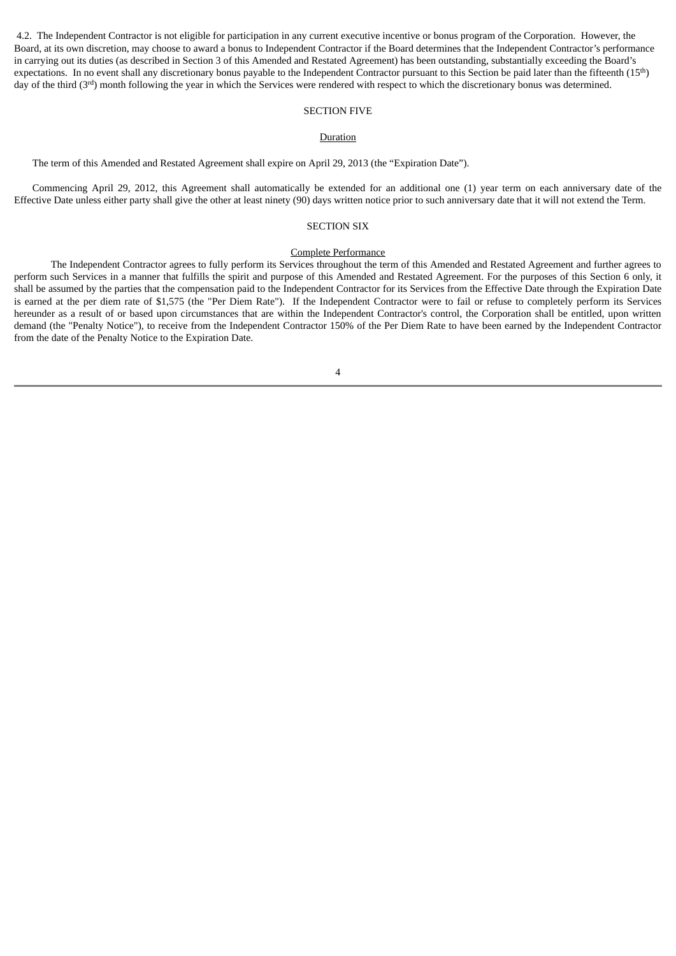4.2. The Independent Contractor is not eligible for participation in any current executive incentive or bonus program of the Corporation. However, the Board, at its own discretion, may choose to award a bonus to Independent Contractor if the Board determines that the Independent Contractor's performance in carrying out its duties (as described in Section 3 of this Amended and Restated Agreement) has been outstanding, substantially exceeding the Board's expectations. In no event shall any discretionary bonus payable to the Independent Contractor pursuant to this Section be paid later than the fifteenth (15<sup>th</sup>) day of the third (3<sup>rd</sup>) month following the year in which the Services were rendered with respect to which the discretionary bonus was determined.

## SECTION FIVE

## Duration

The term of this Amended and Restated Agreement shall expire on April 29, 2013 (the "Expiration Date").

Commencing April 29, 2012, this Agreement shall automatically be extended for an additional one (1) year term on each anniversary date of the Effective Date unless either party shall give the other at least ninety (90) days written notice prior to such anniversary date that it will not extend the Term.

## SECTION SIX

#### Complete Performance

The Independent Contractor agrees to fully perform its Services throughout the term of this Amended and Restated Agreement and further agrees to perform such Services in a manner that fulfills the spirit and purpose of this Amended and Restated Agreement. For the purposes of this Section 6 only, it shall be assumed by the parties that the compensation paid to the Independent Contractor for its Services from the Effective Date through the Expiration Date is earned at the per diem rate of \$1,575 (the "Per Diem Rate"). If the Independent Contractor were to fail or refuse to completely perform its Services hereunder as a result of or based upon circumstances that are within the Independent Contractor's control, the Corporation shall be entitled, upon written demand (the "Penalty Notice"), to receive from the Independent Contractor 150% of the Per Diem Rate to have been earned by the Independent Contractor from the date of the Penalty Notice to the Expiration Date.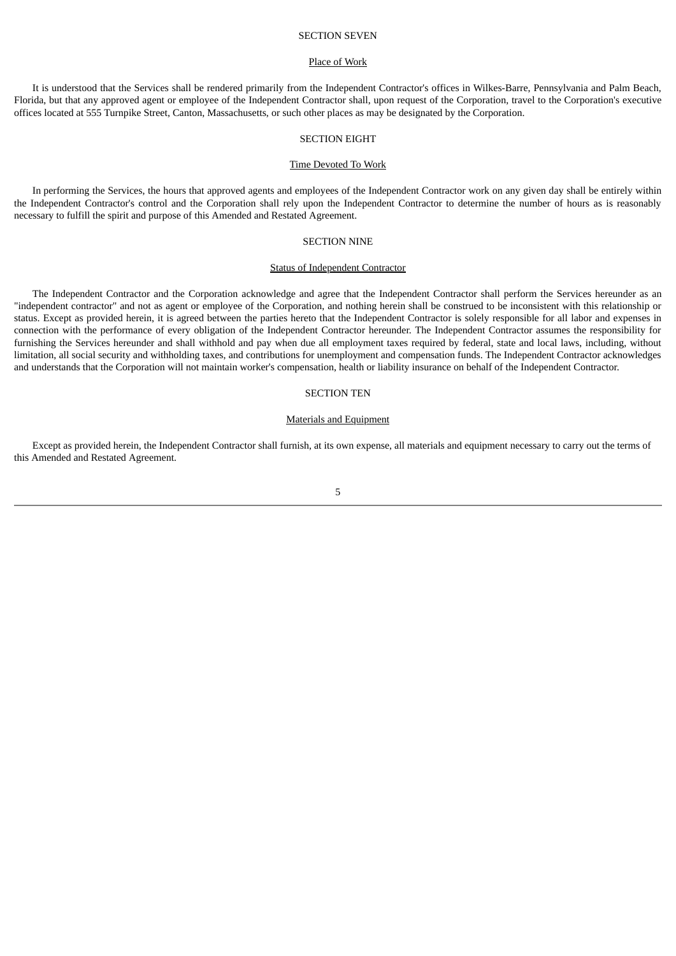### SECTION SEVEN

#### Place of Work

It is understood that the Services shall be rendered primarily from the Independent Contractor's offices in Wilkes-Barre, Pennsylvania and Palm Beach, Florida, but that any approved agent or employee of the Independent Contractor shall, upon request of the Corporation, travel to the Corporation's executive offices located at 555 Turnpike Street, Canton, Massachusetts, or such other places as may be designated by the Corporation.

#### SECTION EIGHT

#### Time Devoted To Work

In performing the Services, the hours that approved agents and employees of the Independent Contractor work on any given day shall be entirely within the Independent Contractor's control and the Corporation shall rely upon the Independent Contractor to determine the number of hours as is reasonably necessary to fulfill the spirit and purpose of this Amended and Restated Agreement.

## SECTION NINE

### Status of Independent Contractor

The Independent Contractor and the Corporation acknowledge and agree that the Independent Contractor shall perform the Services hereunder as an "independent contractor" and not as agent or employee of the Corporation, and nothing herein shall be construed to be inconsistent with this relationship or status. Except as provided herein, it is agreed between the parties hereto that the Independent Contractor is solely responsible for all labor and expenses in connection with the performance of every obligation of the Independent Contractor hereunder. The Independent Contractor assumes the responsibility for furnishing the Services hereunder and shall withhold and pay when due all employment taxes required by federal, state and local laws, including, without limitation, all social security and withholding taxes, and contributions for unemployment and compensation funds. The Independent Contractor acknowledges and understands that the Corporation will not maintain worker's compensation, health or liability insurance on behalf of the Independent Contractor.

## SECTION TEN

#### Materials and Equipment

Except as provided herein, the Independent Contractor shall furnish, at its own expense, all materials and equipment necessary to carry out the terms of this Amended and Restated Agreement.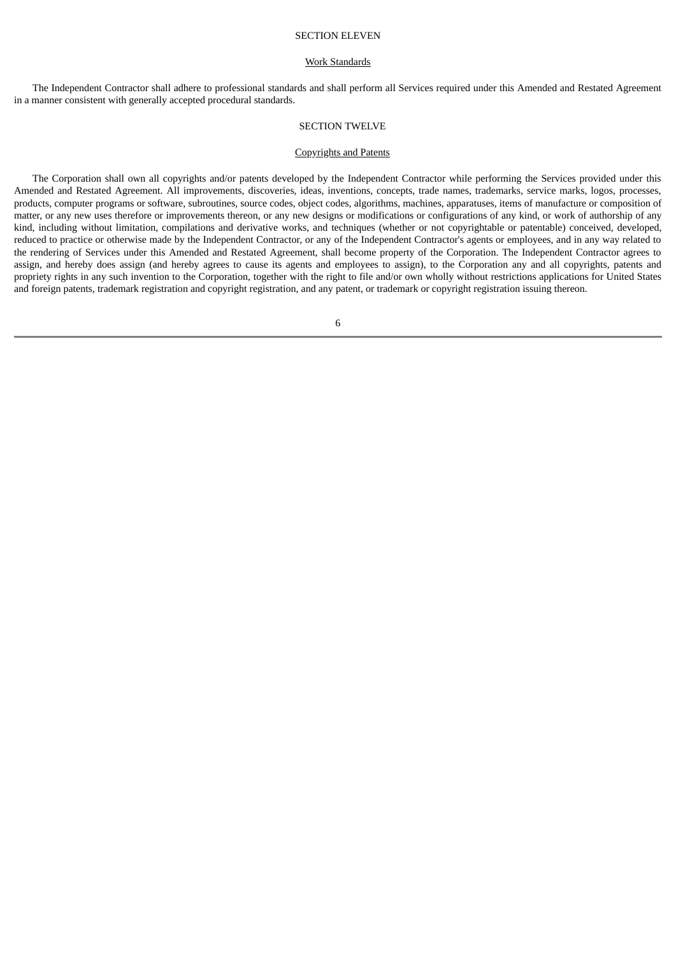### SECTION ELEVEN

#### Work Standards

The Independent Contractor shall adhere to professional standards and shall perform all Services required under this Amended and Restated Agreement in a manner consistent with generally accepted procedural standards.

#### SECTION TWELVE

#### Copyrights and Patents

The Corporation shall own all copyrights and/or patents developed by the Independent Contractor while performing the Services provided under this Amended and Restated Agreement. All improvements, discoveries, ideas, inventions, concepts, trade names, trademarks, service marks, logos, processes, products, computer programs or software, subroutines, source codes, object codes, algorithms, machines, apparatuses, items of manufacture or composition of matter, or any new uses therefore or improvements thereon, or any new designs or modifications or configurations of any kind, or work of authorship of any kind, including without limitation, compilations and derivative works, and techniques (whether or not copyrightable or patentable) conceived, developed, reduced to practice or otherwise made by the Independent Contractor, or any of the Independent Contractor's agents or employees, and in any way related to the rendering of Services under this Amended and Restated Agreement, shall become property of the Corporation. The Independent Contractor agrees to assign, and hereby does assign (and hereby agrees to cause its agents and employees to assign), to the Corporation any and all copyrights, patents and propriety rights in any such invention to the Corporation, together with the right to file and/or own wholly without restrictions applications for United States and foreign patents, trademark registration and copyright registration, and any patent, or trademark or copyright registration issuing thereon.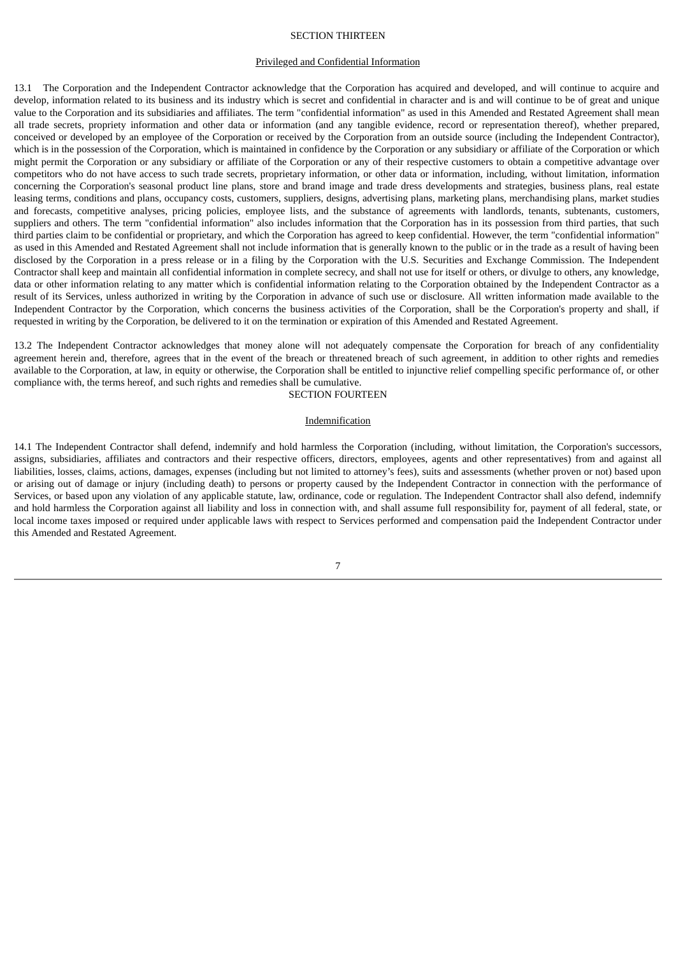## SECTION THIRTEEN

## Privileged and Confidential Information

13.1 The Corporation and the Independent Contractor acknowledge that the Corporation has acquired and developed, and will continue to acquire and develop, information related to its business and its industry which is secret and confidential in character and is and will continue to be of great and unique value to the Corporation and its subsidiaries and affiliates. The term "confidential information" as used in this Amended and Restated Agreement shall mean all trade secrets, propriety information and other data or information (and any tangible evidence, record or representation thereof), whether prepared, conceived or developed by an employee of the Corporation or received by the Corporation from an outside source (including the Independent Contractor), which is in the possession of the Corporation, which is maintained in confidence by the Corporation or any subsidiary or affiliate of the Corporation or which might permit the Corporation or any subsidiary or affiliate of the Corporation or any of their respective customers to obtain a competitive advantage over competitors who do not have access to such trade secrets, proprietary information, or other data or information, including, without limitation, information concerning the Corporation's seasonal product line plans, store and brand image and trade dress developments and strategies, business plans, real estate leasing terms, conditions and plans, occupancy costs, customers, suppliers, designs, advertising plans, marketing plans, merchandising plans, market studies and forecasts, competitive analyses, pricing policies, employee lists, and the substance of agreements with landlords, tenants, subtenants, customers, suppliers and others. The term "confidential information" also includes information that the Corporation has in its possession from third parties, that such third parties claim to be confidential or proprietary, and which the Corporation has agreed to keep confidential. However, the term "confidential information" as used in this Amended and Restated Agreement shall not include information that is generally known to the public or in the trade as a result of having been disclosed by the Corporation in a press release or in a filing by the Corporation with the U.S. Securities and Exchange Commission. The Independent Contractor shall keep and maintain all confidential information in complete secrecy, and shall not use for itself or others, or divulge to others, any knowledge, data or other information relating to any matter which is confidential information relating to the Corporation obtained by the Independent Contractor as a result of its Services, unless authorized in writing by the Corporation in advance of such use or disclosure. All written information made available to the Independent Contractor by the Corporation, which concerns the business activities of the Corporation, shall be the Corporation's property and shall, if requested in writing by the Corporation, be delivered to it on the termination or expiration of this Amended and Restated Agreement.

13.2 The Independent Contractor acknowledges that money alone will not adequately compensate the Corporation for breach of any confidentiality agreement herein and, therefore, agrees that in the event of the breach or threatened breach of such agreement, in addition to other rights and remedies available to the Corporation, at law, in equity or otherwise, the Corporation shall be entitled to injunctive relief compelling specific performance of, or other compliance with, the terms hereof, and such rights and remedies shall be cumulative.

SECTION FOURTEEN

#### Indemnification

14.1 The Independent Contractor shall defend, indemnify and hold harmless the Corporation (including, without limitation, the Corporation's successors, assigns, subsidiaries, affiliates and contractors and their respective officers, directors, employees, agents and other representatives) from and against all liabilities, losses, claims, actions, damages, expenses (including but not limited to attorney's fees), suits and assessments (whether proven or not) based upon or arising out of damage or injury (including death) to persons or property caused by the Independent Contractor in connection with the performance of Services, or based upon any violation of any applicable statute, law, ordinance, code or regulation. The Independent Contractor shall also defend, indemnify and hold harmless the Corporation against all liability and loss in connection with, and shall assume full responsibility for, payment of all federal, state, or local income taxes imposed or required under applicable laws with respect to Services performed and compensation paid the Independent Contractor under this Amended and Restated Agreement.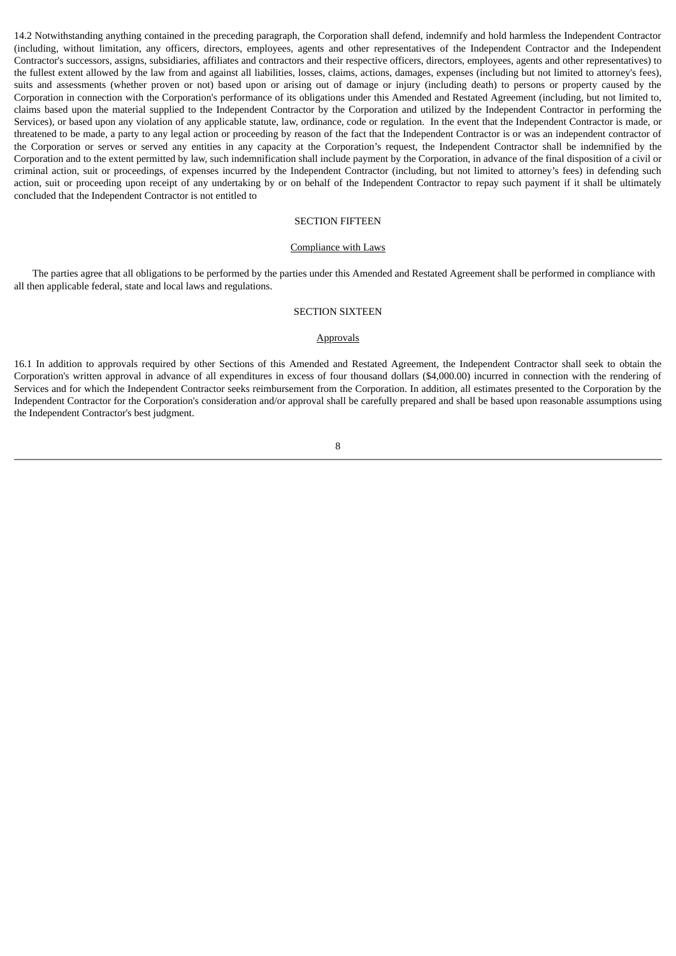14.2 Notwithstanding anything contained in the preceding paragraph, the Corporation shall defend, indemnify and hold harmless the Independent Contractor (including, without limitation, any officers, directors, employees, agents and other representatives of the Independent Contractor and the Independent Contractor's successors, assigns, subsidiaries, affiliates and contractors and their respective officers, directors, employees, agents and other representatives) to the fullest extent allowed by the law from and against all liabilities, losses, claims, actions, damages, expenses (including but not limited to attorney's fees), suits and assessments (whether proven or not) based upon or arising out of damage or injury (including death) to persons or property caused by the Corporation in connection with the Corporation's performance of its obligations under this Amended and Restated Agreement (including, but not limited to, claims based upon the material supplied to the Independent Contractor by the Corporation and utilized by the Independent Contractor in performing the Services), or based upon any violation of any applicable statute, law, ordinance, code or regulation. In the event that the Independent Contractor is made, or threatened to be made, a party to any legal action or proceeding by reason of the fact that the Independent Contractor is or was an independent contractor of the Corporation or serves or served any entities in any capacity at the Corporation's request, the Independent Contractor shall be indemnified by the Corporation and to the extent permitted by law, such indemnification shall include payment by the Corporation, in advance of the final disposition of a civil or criminal action, suit or proceedings, of expenses incurred by the Independent Contractor (including, but not limited to attorney's fees) in defending such action, suit or proceeding upon receipt of any undertaking by or on behalf of the Independent Contractor to repay such payment if it shall be ultimately concluded that the Independent Contractor is not entitled to

## SECTION FIFTEEN

#### Compliance with Laws

The parties agree that all obligations to be performed by the parties under this Amended and Restated Agreement shall be performed in compliance with all then applicable federal, state and local laws and regulations.

#### SECTION SIXTEEN

#### **Approvals**

16.1 In addition to approvals required by other Sections of this Amended and Restated Agreement, the Independent Contractor shall seek to obtain the Corporation's written approval in advance of all expenditures in excess of four thousand dollars (\$4,000.00) incurred in connection with the rendering of Services and for which the Independent Contractor seeks reimbursement from the Corporation. In addition, all estimates presented to the Corporation by the Independent Contractor for the Corporation's consideration and/or approval shall be carefully prepared and shall be based upon reasonable assumptions using the Independent Contractor's best judgment.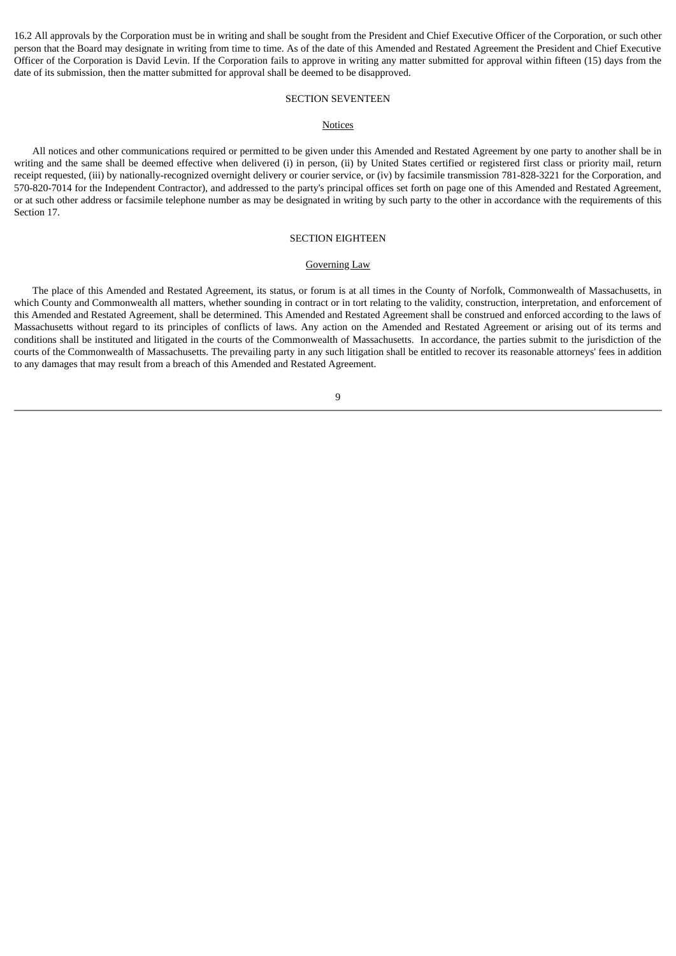16.2 All approvals by the Corporation must be in writing and shall be sought from the President and Chief Executive Officer of the Corporation, or such other person that the Board may designate in writing from time to time. As of the date of this Amended and Restated Agreement the President and Chief Executive Officer of the Corporation is David Levin. If the Corporation fails to approve in writing any matter submitted for approval within fifteen (15) days from the date of its submission, then the matter submitted for approval shall be deemed to be disapproved.

## SECTION SEVENTEEN

#### **Notices**

All notices and other communications required or permitted to be given under this Amended and Restated Agreement by one party to another shall be in writing and the same shall be deemed effective when delivered (i) in person, (ii) by United States certified or registered first class or priority mail, return receipt requested, (iii) by nationally-recognized overnight delivery or courier service, or (iv) by facsimile transmission 781-828-3221 for the Corporation, and 570-820-7014 for the Independent Contractor), and addressed to the party's principal offices set forth on page one of this Amended and Restated Agreement, or at such other address or facsimile telephone number as may be designated in writing by such party to the other in accordance with the requirements of this Section 17.

#### SECTION EIGHTEEN

## Governing Law

The place of this Amended and Restated Agreement, its status, or forum is at all times in the County of Norfolk, Commonwealth of Massachusetts, in which County and Commonwealth all matters, whether sounding in contract or in tort relating to the validity, construction, interpretation, and enforcement of this Amended and Restated Agreement, shall be determined. This Amended and Restated Agreement shall be construed and enforced according to the laws of Massachusetts without regard to its principles of conflicts of laws. Any action on the Amended and Restated Agreement or arising out of its terms and conditions shall be instituted and litigated in the courts of the Commonwealth of Massachusetts. In accordance, the parties submit to the jurisdiction of the courts of the Commonwealth of Massachusetts. The prevailing party in any such litigation shall be entitled to recover its reasonable attorneys' fees in addition to any damages that may result from a breach of this Amended and Restated Agreement.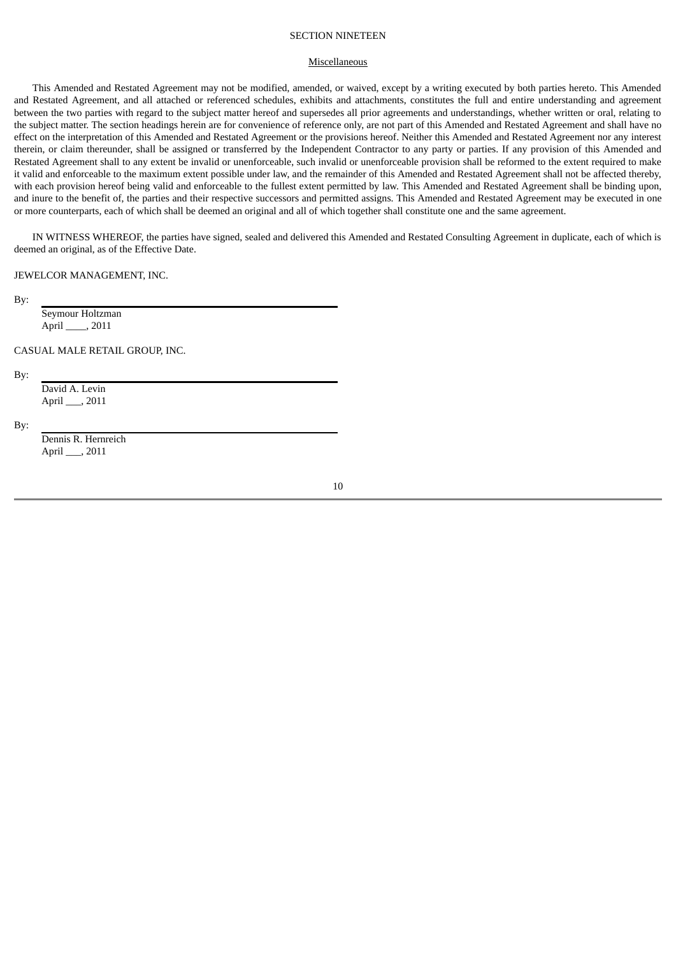## SECTION NINETEEN

### **Miscellaneous**

This Amended and Restated Agreement may not be modified, amended, or waived, except by a writing executed by both parties hereto. This Amended and Restated Agreement, and all attached or referenced schedules, exhibits and attachments, constitutes the full and entire understanding and agreement between the two parties with regard to the subject matter hereof and supersedes all prior agreements and understandings, whether written or oral, relating to the subject matter. The section headings herein are for convenience of reference only, are not part of this Amended and Restated Agreement and shall have no effect on the interpretation of this Amended and Restated Agreement or the provisions hereof. Neither this Amended and Restated Agreement nor any interest therein, or claim thereunder, shall be assigned or transferred by the Independent Contractor to any party or parties. If any provision of this Amended and Restated Agreement shall to any extent be invalid or unenforceable, such invalid or unenforceable provision shall be reformed to the extent required to make it valid and enforceable to the maximum extent possible under law, and the remainder of this Amended and Restated Agreement shall not be affected thereby, with each provision hereof being valid and enforceable to the fullest extent permitted by law. This Amended and Restated Agreement shall be binding upon, and inure to the benefit of, the parties and their respective successors and permitted assigns. This Amended and Restated Agreement may be executed in one or more counterparts, each of which shall be deemed an original and all of which together shall constitute one and the same agreement.

IN WITNESS WHEREOF, the parties have signed, sealed and delivered this Amended and Restated Consulting Agreement in duplicate, each of which is deemed an original, as of the Effective Date.

#### JEWELCOR MANAGEMENT, INC.

By:

Seymour Holtzman April \_\_\_\_, 2011

CASUAL MALE RETAIL GROUP, INC.

By:

David A. Levin April \_\_\_, 2011

By:

Dennis R. Hernreich April \_\_\_, 2011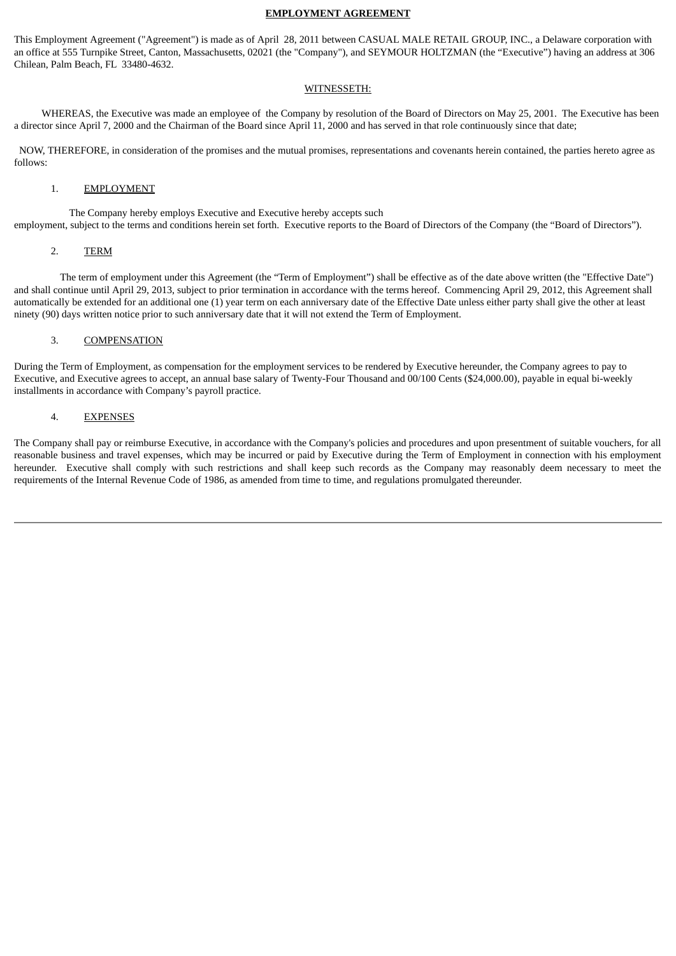## **EMPLOYMENT AGREEMENT**

This Employment Agreement ("Agreement") is made as of April 28, 2011 between CASUAL MALE RETAIL GROUP, INC., a Delaware corporation with an office at 555 Turnpike Street, Canton, Massachusetts, 02021 (the "Company"), and SEYMOUR HOLTZMAN (the "Executive") having an address at 306 Chilean, Palm Beach, FL 33480-4632.

### WITNESSETH:

WHEREAS, the Executive was made an employee of the Company by resolution of the Board of Directors on May 25, 2001. The Executive has been a director since April 7, 2000 and the Chairman of the Board since April 11, 2000 and has served in that role continuously since that date;

NOW, THEREFORE, in consideration of the promises and the mutual promises, representations and covenants herein contained, the parties hereto agree as follows:

## 1. EMPLOYMENT

The Company hereby employs Executive and Executive hereby accepts such employment, subject to the terms and conditions herein set forth. Executive reports to the Board of Directors of the Company (the "Board of Directors").

## 2. TERM

The term of employment under this Agreement (the "Term of Employment") shall be effective as of the date above written (the "Effective Date") and shall continue until April 29, 2013, subject to prior termination in accordance with the terms hereof. Commencing April 29, 2012, this Agreement shall automatically be extended for an additional one (1) year term on each anniversary date of the Effective Date unless either party shall give the other at least ninety (90) days written notice prior to such anniversary date that it will not extend the Term of Employment.

## 3. COMPENSATION

During the Term of Employment, as compensation for the employment services to be rendered by Executive hereunder, the Company agrees to pay to Executive, and Executive agrees to accept, an annual base salary of Twenty-Four Thousand and 00/100 Cents (\$24,000.00), payable in equal bi-weekly installments in accordance with Company's payroll practice.

## 4. EXPENSES

The Company shall pay or reimburse Executive, in accordance with the Company's policies and procedures and upon presentment of suitable vouchers, for all reasonable business and travel expenses, which may be incurred or paid by Executive during the Term of Employment in connection with his employment hereunder. Executive shall comply with such restrictions and shall keep such records as the Company may reasonably deem necessary to meet the requirements of the Internal Revenue Code of 1986, as amended from time to time, and regulations promulgated thereunder.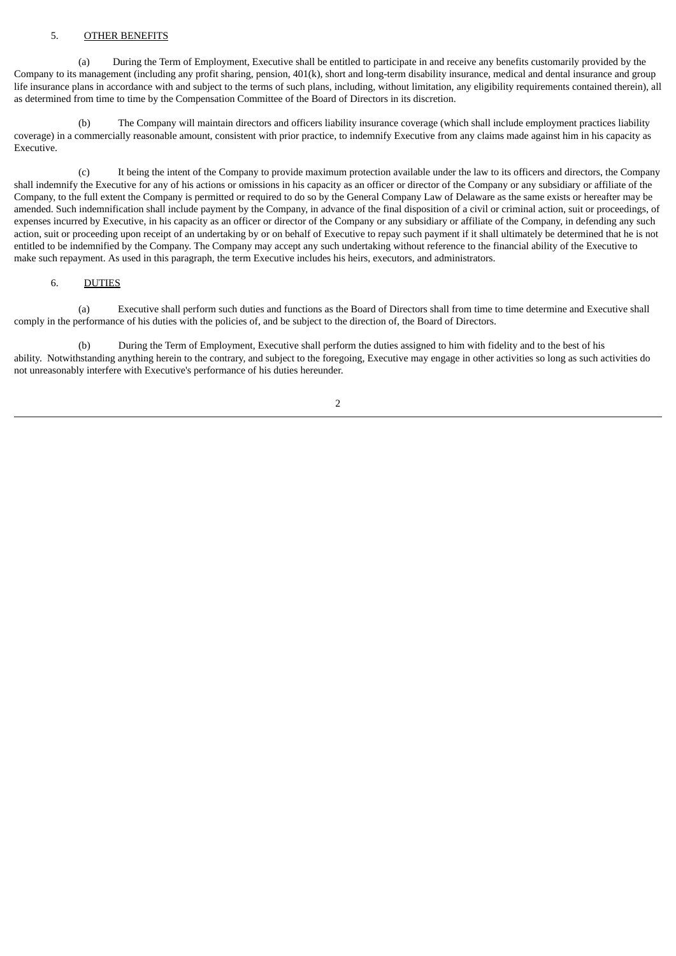## 5. OTHER BENEFITS

(a) During the Term of Employment, Executive shall be entitled to participate in and receive any benefits customarily provided by the Company to its management (including any profit sharing, pension, 401(k), short and long-term disability insurance, medical and dental insurance and group life insurance plans in accordance with and subject to the terms of such plans, including, without limitation, any eligibility requirements contained therein), all as determined from time to time by the Compensation Committee of the Board of Directors in its discretion.

(b) The Company will maintain directors and officers liability insurance coverage (which shall include employment practices liability coverage) in a commercially reasonable amount, consistent with prior practice, to indemnify Executive from any claims made against him in his capacity as Executive.

(c) It being the intent of the Company to provide maximum protection available under the law to its officers and directors, the Company shall indemnify the Executive for any of his actions or omissions in his capacity as an officer or director of the Company or any subsidiary or affiliate of the Company, to the full extent the Company is permitted or required to do so by the General Company Law of Delaware as the same exists or hereafter may be amended. Such indemnification shall include payment by the Company, in advance of the final disposition of a civil or criminal action, suit or proceedings, of expenses incurred by Executive, in his capacity as an officer or director of the Company or any subsidiary or affiliate of the Company, in defending any such action, suit or proceeding upon receipt of an undertaking by or on behalf of Executive to repay such payment if it shall ultimately be determined that he is not entitled to be indemnified by the Company. The Company may accept any such undertaking without reference to the financial ability of the Executive to make such repayment. As used in this paragraph, the term Executive includes his heirs, executors, and administrators.

## 6. DUTIES

(a) Executive shall perform such duties and functions as the Board of Directors shall from time to time determine and Executive shall comply in the performance of his duties with the policies of, and be subject to the direction of, the Board of Directors.

(b) During the Term of Employment, Executive shall perform the duties assigned to him with fidelity and to the best of his ability. Notwithstanding anything herein to the contrary, and subject to the foregoing, Executive may engage in other activities so long as such activities do not unreasonably interfere with Executive's performance of his duties hereunder.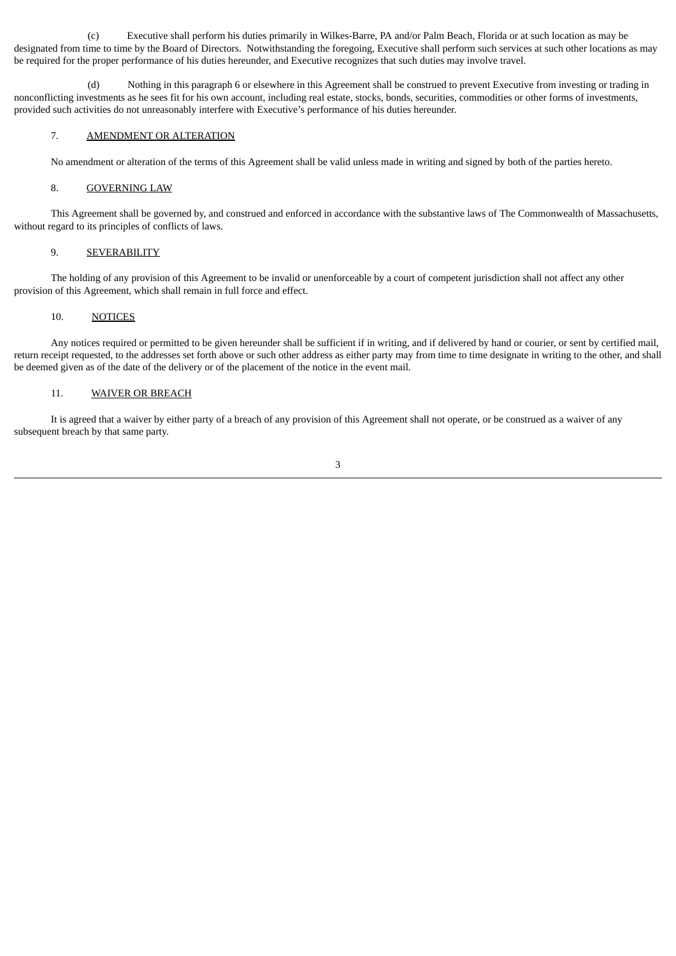(c) Executive shall perform his duties primarily in Wilkes-Barre, PA and/or Palm Beach, Florida or at such location as may be designated from time to time by the Board of Directors. Notwithstanding the foregoing, Executive shall perform such services at such other locations as may be required for the proper performance of his duties hereunder, and Executive recognizes that such duties may involve travel.

(d) Nothing in this paragraph 6 or elsewhere in this Agreement shall be construed to prevent Executive from investing or trading in nonconflicting investments as he sees fit for his own account, including real estate, stocks, bonds, securities, commodities or other forms of investments, provided such activities do not unreasonably interfere with Executive's performance of his duties hereunder.

## 7. AMENDMENT OR ALTERATION

No amendment or alteration of the terms of this Agreement shall be valid unless made in writing and signed by both of the parties hereto.

## 8. GOVERNING LAW

This Agreement shall be governed by, and construed and enforced in accordance with the substantive laws of The Commonwealth of Massachusetts, without regard to its principles of conflicts of laws.

### 9. SEVERABILITY

The holding of any provision of this Agreement to be invalid or unenforceable by a court of competent jurisdiction shall not affect any other provision of this Agreement, which shall remain in full force and effect.

## 10. NOTICES

Any notices required or permitted to be given hereunder shall be sufficient if in writing, and if delivered by hand or courier, or sent by certified mail, return receipt requested, to the addresses set forth above or such other address as either party may from time to time designate in writing to the other, and shall be deemed given as of the date of the delivery or of the placement of the notice in the event mail.

## 11. WAIVER OR BREACH

It is agreed that a waiver by either party of a breach of any provision of this Agreement shall not operate, or be construed as a waiver of any subsequent breach by that same party.